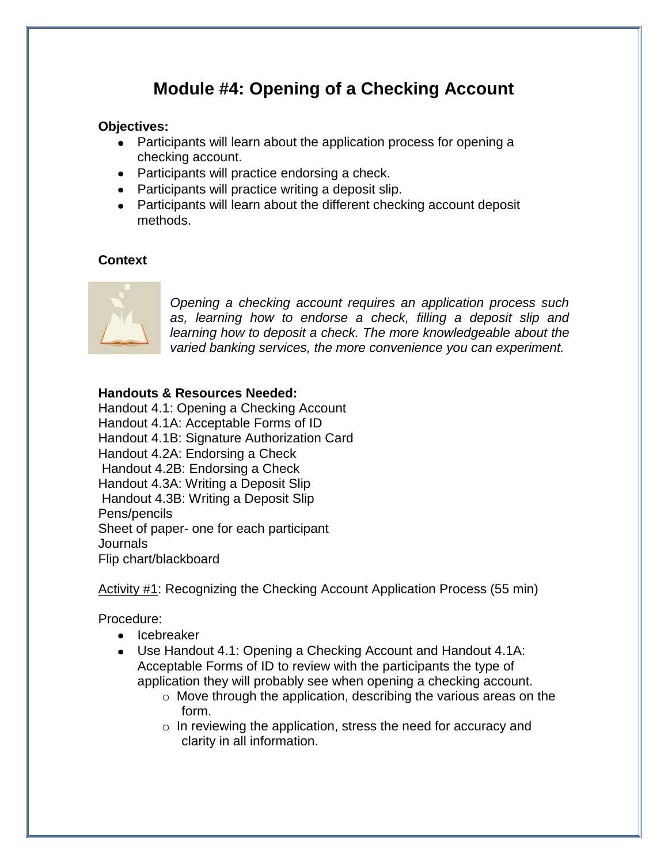## **Module #4: Opening of a Checking Account**

#### **Objectives:**

- Participants will learn about the application process for opening a checking account.
- Participants will practice endorsing a check.
- Participants will practice writing a deposit slip.
- Participants will learn about the different checking account deposit methods.

### **Context**



*Opening a checking account requires an application process such as, learning how to endorse a check, filling a deposit slip and learning how to deposit a check. The more knowledgeable about the varied banking services, the more convenience you can experiment.*

#### **Handouts & Resources Needed:**

Handout 4.1: Opening a Checking Account Handout 4.1A: Acceptable Forms of ID Handout 4.1B: Signature Authorization Card Handout 4.2A: Endorsing a Check Handout 4.2B: Endorsing a Check Handout 4.3A: Writing a Deposit Slip Handout 4.3B: Writing a Deposit Slip Pens/pencils Sheet of paper- one for each participant Journals Flip chart/blackboard

Activity #1: Recognizing the Checking Account Application Process (55 min)

Procedure:

- Icebreaker
- Use Handout 4.1: Opening a Checking Account and Handout 4.1A: Acceptable Forms of ID to review with the participants the type of application they will probably see when opening a checking account.
	- o Move through the application, describing the various areas on the form.
	- $\circ$  In reviewing the application, stress the need for accuracy and clarity in all information.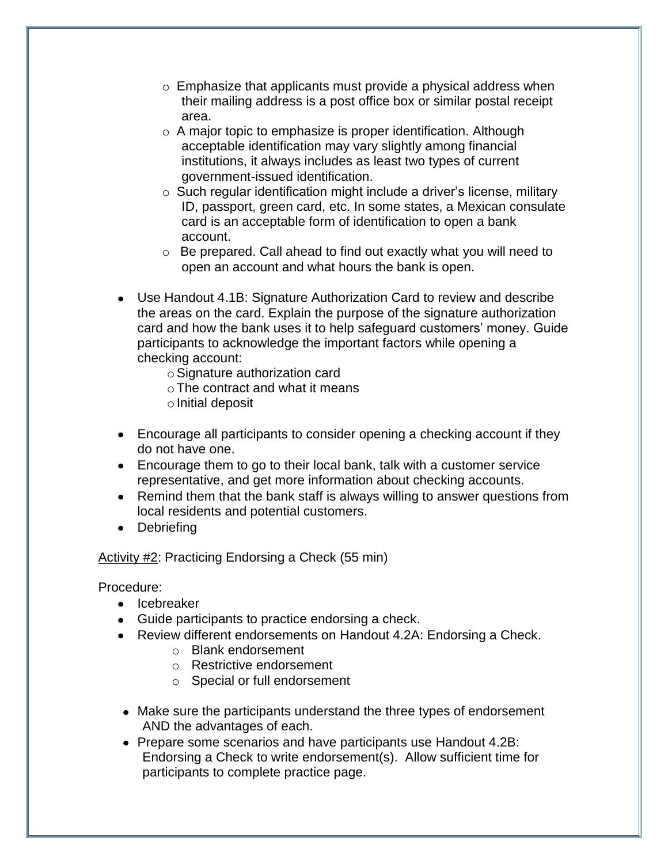- $\circ$  Emphasize that applicants must provide a physical address when their mailing address is a post office box or similar postal receipt area.
- o A major topic to emphasize is proper identification. Although acceptable identification may vary slightly among financial institutions, it always includes as least two types of current government-issued identification.
- $\circ$  Such regular identification might include a driver's license, military ID, passport, green card, etc. In some states, a Mexican consulate card is an acceptable form of identification to open a bank account.
- o Be prepared. Call ahead to find out exactly what you will need to open an account and what hours the bank is open.
- Use Handout 4.1B: Signature Authorization Card to review and describe the areas on the card. Explain the purpose of the signature authorization card and how the bank uses it to help safeguard customers' money. Guide participants to acknowledge the important factors while opening a checking account:
	- $\circ$  Signature authorization card
	- oThe contract and what it means
	- $\circ$  Initial deposit
- Encourage all participants to consider opening a checking account if they do not have one.
- Encourage them to go to their local bank, talk with a customer service representative, and get more information about checking accounts.
- Remind them that the bank staff is always willing to answer questions from local residents and potential customers.
- Debriefing

#### Activity #2: Practicing Endorsing a Check (55 min)

Procedure:

- Icebreaker
- Guide participants to practice endorsing a check.
- Review different endorsements on Handout 4.2A: Endorsing a Check.
	- o Blank endorsement
	- o Restrictive endorsement
	- o Special or full endorsement
- Make sure the participants understand the three types of endorsement AND the advantages of each.
- Prepare some scenarios and have participants use Handout 4.2B: Endorsing a Check to write endorsement(s). Allow sufficient time for participants to complete practice page.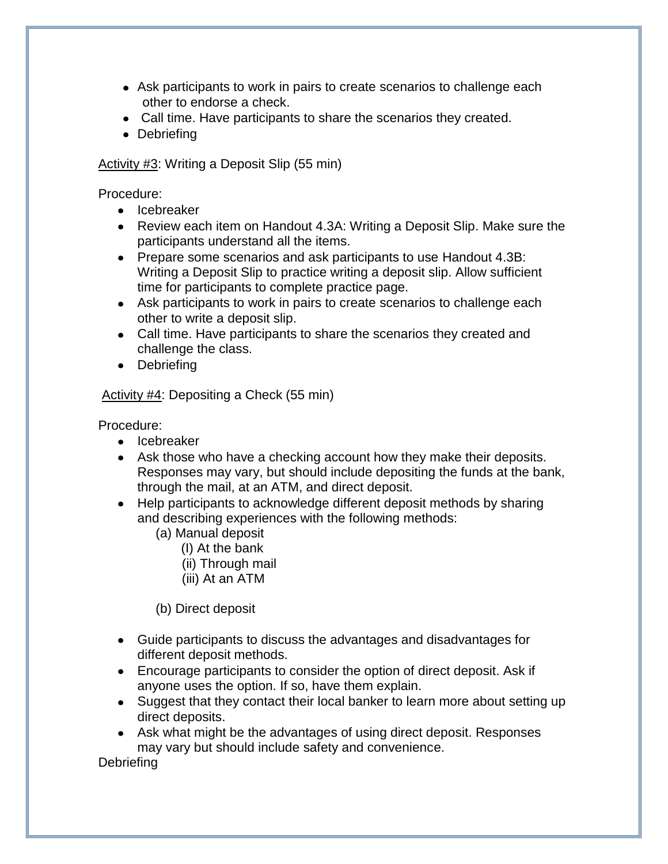- Ask participants to work in pairs to create scenarios to challenge each other to endorse a check.
- Call time. Have participants to share the scenarios they created.
- Debriefing

Activity #3: Writing a Deposit Slip (55 min)

Procedure:

- **•** Icebreaker
- Review each item on Handout 4.3A: Writing a Deposit Slip. Make sure the participants understand all the items.
- Prepare some scenarios and ask participants to use Handout 4.3B: Writing a Deposit Slip to practice writing a deposit slip. Allow sufficient time for participants to complete practice page.
- Ask participants to work in pairs to create scenarios to challenge each other to write a deposit slip.
- Call time. Have participants to share the scenarios they created and challenge the class.
- Debriefing

Activity #4: Depositing a Check (55 min)

Procedure:

- Icebreaker
- Ask those who have a checking account how they make their deposits. Responses may vary, but should include depositing the funds at the bank, through the mail, at an ATM, and direct deposit.
- Help participants to acknowledge different deposit methods by sharing and describing experiences with the following methods:
	- (a) Manual deposit
		- (I) At the bank
		- (ii) Through mail
		- (iii) At an ATM

(b) Direct deposit

- Guide participants to discuss the advantages and disadvantages for different deposit methods.
- Encourage participants to consider the option of direct deposit. Ask if anyone uses the option. If so, have them explain.
- Suggest that they contact their local banker to learn more about setting up direct deposits.
- Ask what might be the advantages of using direct deposit. Responses may vary but should include safety and convenience.

**Debriefing**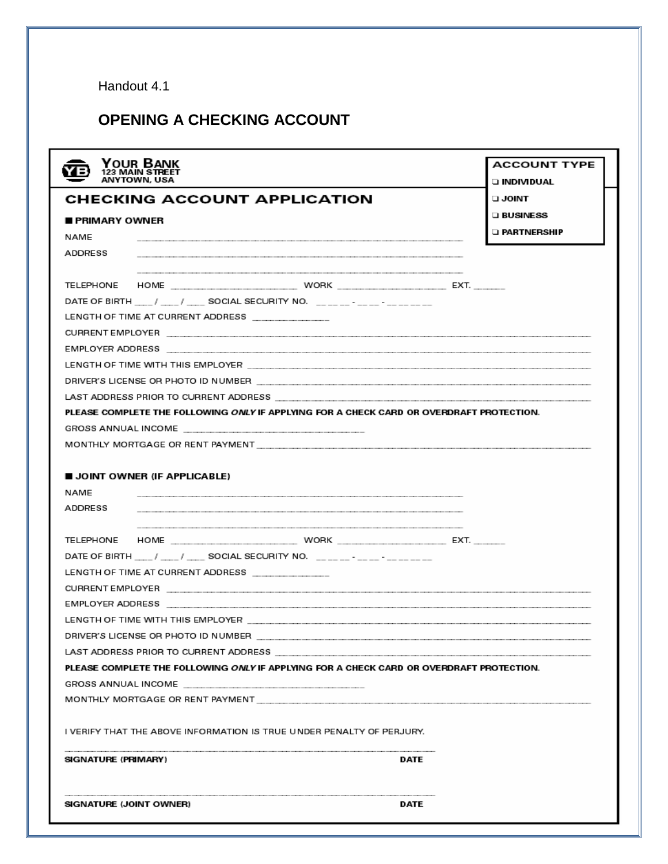Handout 4.1

## **OPENING A CHECKING ACCOUNT**

| YOUR BANK<br>123 MAIN STREET<br>ANYTOWN. USA                                             | <b>ACCOUNT TYPE</b><br><b>O INDIVIDUAL</b> |
|------------------------------------------------------------------------------------------|--------------------------------------------|
| <b>CHECKING ACCOUNT APPLICATION</b>                                                      | <b>TIMIOL L</b>                            |
| <b>PRIMARY OWNER</b>                                                                     | <b>LIBUSINESS</b>                          |
| NAME                                                                                     | □ PARTNERSHIP                              |
| ADDRESS                                                                                  |                                            |
|                                                                                          |                                            |
|                                                                                          |                                            |
| DATE OF BIRTH ____/ ____/ ____ SOCIAL SECURITY NO. ______- ____- _______                 |                                            |
| LENGTH OF TIME AT CURRENT ADDRESS ________________                                       |                                            |
|                                                                                          |                                            |
|                                                                                          |                                            |
|                                                                                          |                                            |
|                                                                                          |                                            |
|                                                                                          |                                            |
| PLEASE COMPLETE THE FOLLOWING ONLY IF APPLYING FOR A CHECK CARD OR OVERDRAFT PROTECTION. |                                            |
|                                                                                          |                                            |
|                                                                                          |                                            |
| ADDRESS                                                                                  |                                            |
|                                                                                          |                                            |
| DATE OF BIRTH ____/ ____/ ____ SOCIAL SECURITY NO. ______-_-_-_-_-_____                  |                                            |
| LENGTH OF TIME AT CURRENT ADDRESS ________________                                       |                                            |
|                                                                                          |                                            |
|                                                                                          |                                            |
|                                                                                          |                                            |
| DRIVER'S LICENSE OR PHOTO ID NUMBER                                                      |                                            |
|                                                                                          |                                            |
| PLEASE COMPLETE THE FOLLOWING ONLY IF APPLYING FOR A CHECK CARD OR OVERDRAFT PROTECTION. |                                            |
|                                                                                          |                                            |
|                                                                                          |                                            |
| I VERIFY THAT THE ABOVE INFORMATION IS TRUE UNDER PENALTY OF PERJURY.                    |                                            |
| SIGNATURE (PRIMARY)<br>DATE                                                              |                                            |
| DATE<br>SIGNATURE (JOINT OWNER)                                                          |                                            |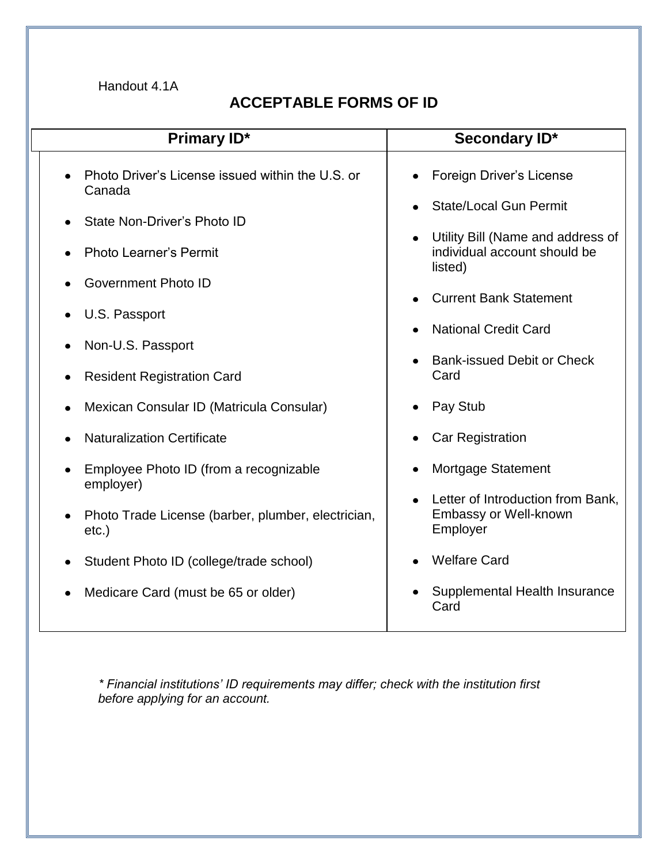Handout 4.1A

## **ACCEPTABLE FORMS OF ID**

| Primary ID*                                                                 | Secondary ID*                                                                |
|-----------------------------------------------------------------------------|------------------------------------------------------------------------------|
| Photo Driver's License issued within the U.S. or<br>Canada                  | Foreign Driver's License                                                     |
| State Non-Driver's Photo ID                                                 | <b>State/Local Gun Permit</b>                                                |
| <b>Photo Learner's Permit</b>                                               | Utility Bill (Name and address of<br>individual account should be<br>listed) |
| Government Photo ID                                                         | <b>Current Bank Statement</b>                                                |
| U.S. Passport                                                               | <b>National Credit Card</b>                                                  |
| Non-U.S. Passport                                                           | <b>Bank-issued Debit or Check</b>                                            |
| <b>Resident Registration Card</b>                                           | Card                                                                         |
| Mexican Consular ID (Matricula Consular)<br>٠                               | Pay Stub                                                                     |
| <b>Naturalization Certificate</b>                                           | Car Registration                                                             |
| Employee Photo ID (from a recognizable<br>employer)                         | Mortgage Statement                                                           |
| Photo Trade License (barber, plumber, electrician,<br>$\bullet$<br>$etc.$ ) | Letter of Introduction from Bank,<br>Embassy or Well-known<br>Employer       |
| Student Photo ID (college/trade school)                                     | <b>Welfare Card</b>                                                          |
| Medicare Card (must be 65 or older)                                         | Supplemental Health Insurance<br>Card                                        |

*\* Financial institutions' ID requirements may differ; check with the institution first before applying for an account.*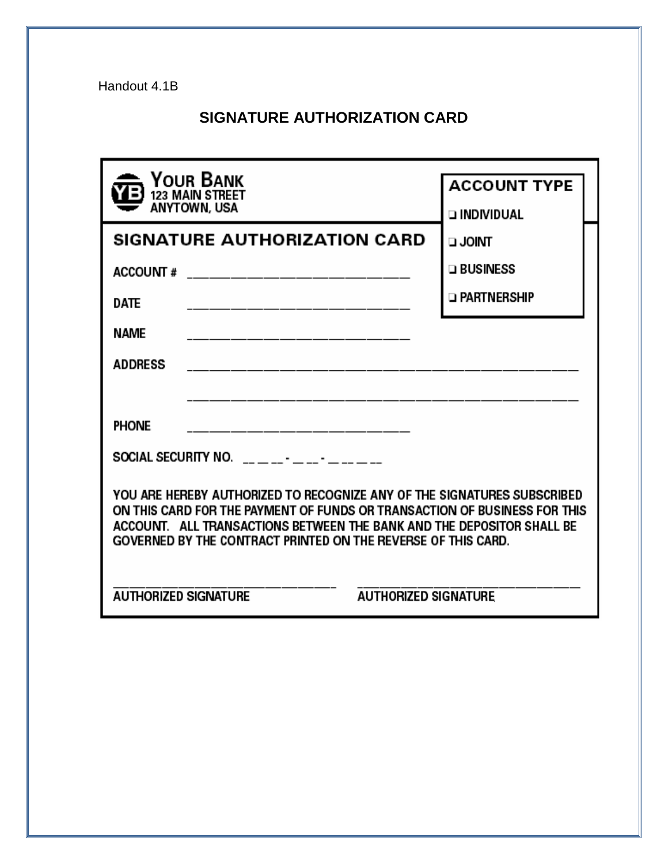Handout 4.1B

## **SIGNATURE AUTHORIZATION CARD**

| Your Bank<br>123 MAIN STREET<br>ANYTOWN, USA                                                                                                                                                                                                                                                   | <b>ACCOUNT TYPE</b><br><b>DINDIVIDUAL</b> |  |  |
|------------------------------------------------------------------------------------------------------------------------------------------------------------------------------------------------------------------------------------------------------------------------------------------------|-------------------------------------------|--|--|
| <b>SIGNATURE AUTHORIZATION CARD</b>                                                                                                                                                                                                                                                            | <b>TAIOL L</b>                            |  |  |
| <b>ACCOUNT#</b>                                                                                                                                                                                                                                                                                | $\square$ Business                        |  |  |
| <b>DATE</b>                                                                                                                                                                                                                                                                                    | <b>D</b> PARTNERSHIP                      |  |  |
| <b>NAME</b>                                                                                                                                                                                                                                                                                    |                                           |  |  |
| <b>ADDRESS</b>                                                                                                                                                                                                                                                                                 |                                           |  |  |
|                                                                                                                                                                                                                                                                                                |                                           |  |  |
| <b>PHONE</b>                                                                                                                                                                                                                                                                                   |                                           |  |  |
| SOCIAL SECURITY NO. $\frac{1}{2}$ $\frac{1}{2}$ $\frac{1}{2}$ $\frac{1}{2}$ $\frac{1}{2}$ $\frac{1}{2}$ $\frac{1}{2}$ $\frac{1}{2}$                                                                                                                                                            |                                           |  |  |
| YOU ARE HEREBY AUTHORIZED TO RECOGNIZE ANY OF THE SIGNATURES SUBSCRIBED<br>ON THIS CARD FOR THE PAYMENT OF FUNDS OR TRANSACTION OF BUSINESS FOR THIS<br>ACCOUNT. ALL TRANSACTIONS BETWEEN THE BANK AND THE DEPOSITOR SHALL BE<br>GOVERNED BY THE CONTRACT PRINTED ON THE REVERSE OF THIS CARD. |                                           |  |  |
| <b>AUTHORIZED SIGNATURE</b><br><b>AUTHORIZED SIGNATURE</b>                                                                                                                                                                                                                                     |                                           |  |  |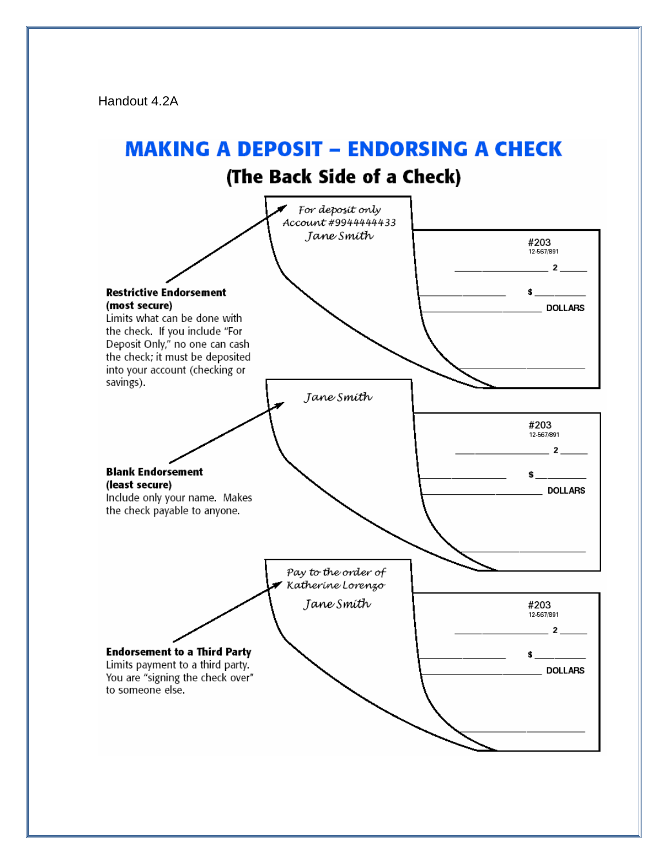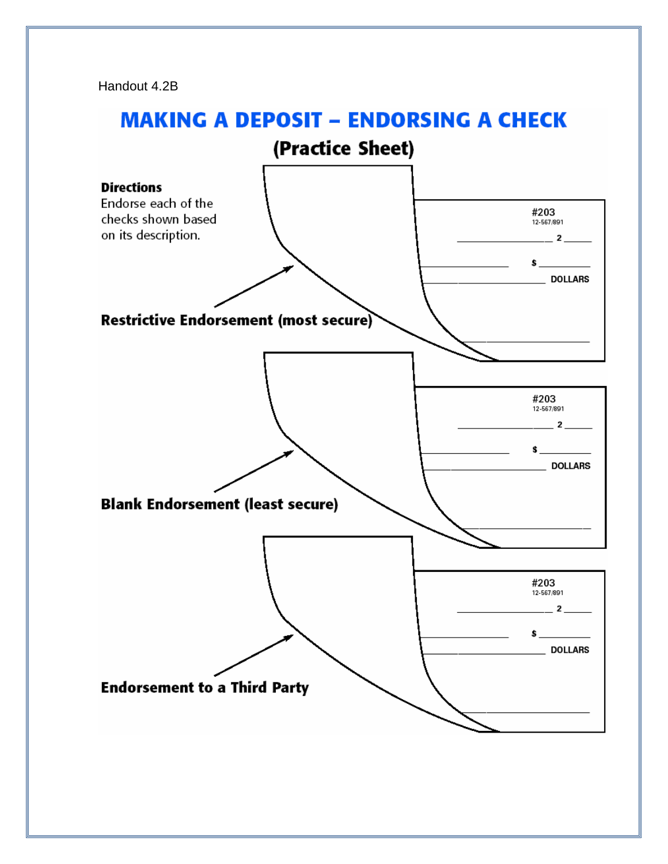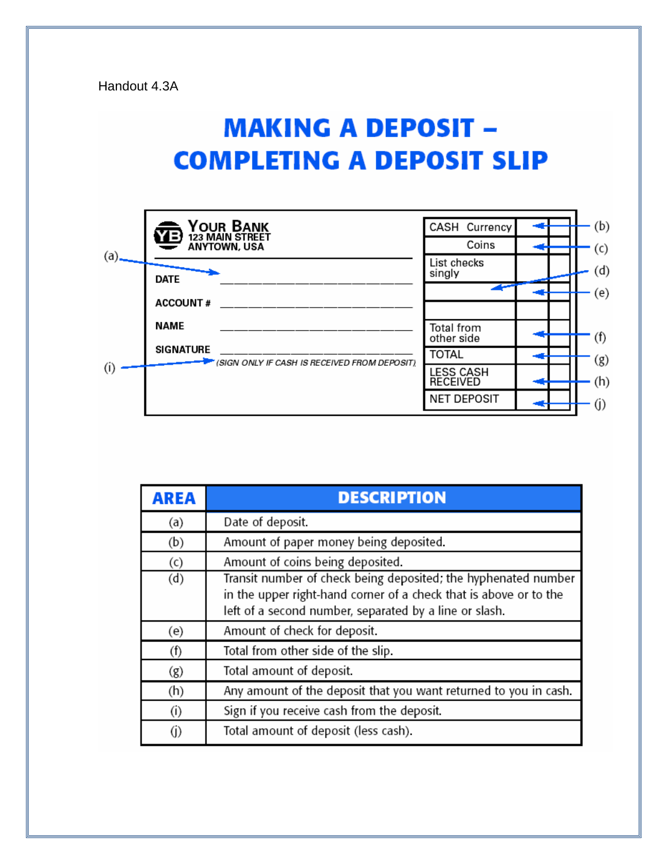# **MAKING A DEPOSIT -COMPLETING A DEPOSIT SLIP**

|         | YOUR BANK<br>123 MAIN STREET<br>YB,<br><b>ANYTOWN, USA</b> | CASH Currency<br>Coins              | (b)<br>(c) |
|---------|------------------------------------------------------------|-------------------------------------|------------|
| $(a)$ . | <b>DATE</b>                                                | List checks<br>singly               | (d)        |
|         | <b>ACCOUNT#</b>                                            |                                     | (e)        |
| (i)     | <b>NAME</b><br><b>SIGNATURE</b>                            | Total from<br>other side            | (f)        |
|         | (SIGN ONLY IF CASH IS RECEIVED FROM DEPOSIT)               | <b>TOTAL</b>                        | (g)        |
|         |                                                            | <b>LESS CASH</b><br><b>RECEIVED</b> | (h)        |
|         |                                                            | <b>NET DEPOSIT</b>                  | (j)        |

| AREA | <b>DESCRIPTION</b>                                                                                                                                                                            |
|------|-----------------------------------------------------------------------------------------------------------------------------------------------------------------------------------------------|
| (a)  | Date of deposit.                                                                                                                                                                              |
| (b)  | Amount of paper money being deposited.                                                                                                                                                        |
| (c)  | Amount of coins being deposited.                                                                                                                                                              |
| (d)  | Transit number of check being deposited; the hyphenated number<br>in the upper right-hand corner of a check that is above or to the<br>left of a second number, separated by a line or slash. |
| (e)  | Amount of check for deposit.                                                                                                                                                                  |
| (f)  | Total from other side of the slip.                                                                                                                                                            |
| (g)  | Total amount of deposit.                                                                                                                                                                      |
| (h)  | Any amount of the deposit that you want returned to you in cash.                                                                                                                              |
| (i)  | Sign if you receive cash from the deposit.                                                                                                                                                    |
| (j)  | Total amount of deposit (less cash).                                                                                                                                                          |